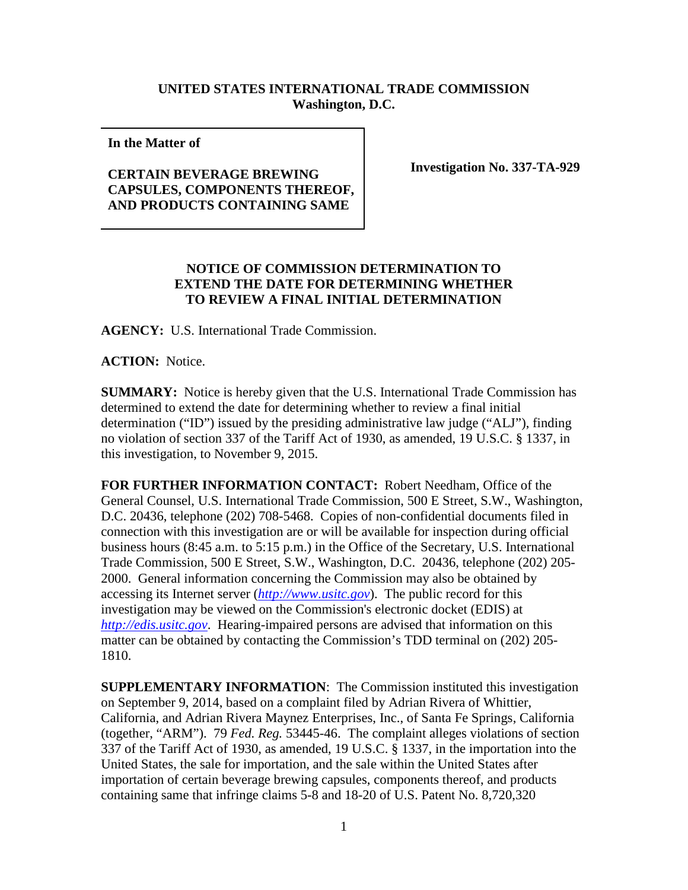## **UNITED STATES INTERNATIONAL TRADE COMMISSION Washington, D.C.**

**In the Matter of** 

## **CERTAIN BEVERAGE BREWING CAPSULES, COMPONENTS THEREOF, AND PRODUCTS CONTAINING SAME**

**Investigation No. 337-TA-929**

## **NOTICE OF COMMISSION DETERMINATION TO EXTEND THE DATE FOR DETERMINING WHETHER TO REVIEW A FINAL INITIAL DETERMINATION**

**AGENCY:** U.S. International Trade Commission.

**ACTION:** Notice.

**SUMMARY:** Notice is hereby given that the U.S. International Trade Commission has determined to extend the date for determining whether to review a final initial determination ("ID") issued by the presiding administrative law judge ("ALJ"), finding no violation of section 337 of the Tariff Act of 1930, as amended, 19 U.S.C. § 1337, in this investigation, to November 9, 2015.

**FOR FURTHER INFORMATION CONTACT:** Robert Needham, Office of the General Counsel, U.S. International Trade Commission, 500 E Street, S.W., Washington, D.C. 20436, telephone (202) 708-5468. Copies of non-confidential documents filed in connection with this investigation are or will be available for inspection during official business hours (8:45 a.m. to 5:15 p.m.) in the Office of the Secretary, U.S. International Trade Commission, 500 E Street, S.W., Washington, D.C. 20436, telephone (202) 205- 2000. General information concerning the Commission may also be obtained by accessing its Internet server (*[http://www.usitc.gov](http://www.usitc.gov/)*). The public record for this investigation may be viewed on the Commission's electronic docket (EDIS) at *[http://edis.usitc.gov](http://edis.usitc.gov/)*. Hearing-impaired persons are advised that information on this matter can be obtained by contacting the Commission's TDD terminal on (202) 205- 1810.

**SUPPLEMENTARY INFORMATION**: The Commission instituted this investigation on September 9, 2014, based on a complaint filed by Adrian Rivera of Whittier, California, and Adrian Rivera Maynez Enterprises, Inc., of Santa Fe Springs, California (together, "ARM"). 79 *Fed. Reg.* 53445-46. The complaint alleges violations of section 337 of the Tariff Act of 1930, as amended, 19 U.S.C. § 1337, in the importation into the United States, the sale for importation, and the sale within the United States after importation of certain beverage brewing capsules, components thereof, and products containing same that infringe claims 5-8 and 18-20 of U.S. Patent No. 8,720,320